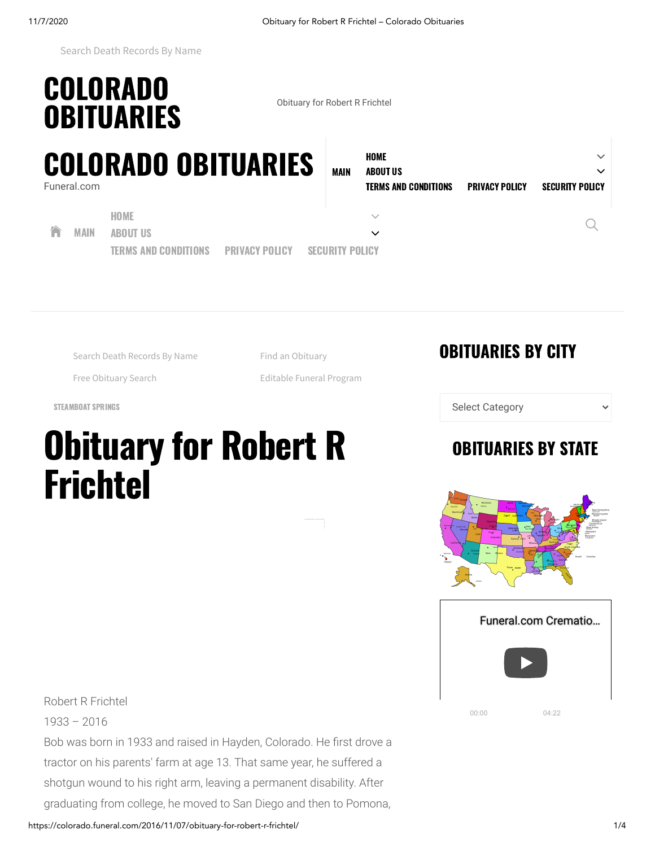<sup>01</sup> [Search Death Records By Name](http://558866862.keywordblocks.com/search.cfm?&lgplp=jf75EJ%3AQJ778zy&ktr=1&&cq=Rf1NJXdIf15Xd7fJvN49dhqdL1Vf&vi=1604797295139513830&kp=1&kbc=501063&kt=438&ki=329937303&ktd=274894815488&kbc2=ps%3D1.034%7C%7Crpc%3D0.29%7C%7Clvl%3D5.00&kmb=LTEuMDAw&fdkt=438&fp=0COt49bfOixxqooUMf-YMPCbWXAK0yzetbkpZ_o6Sg6pNTVAuC-LFD2knxZIx8WywMkiEvijRXGViw-KPhFwgWjY-yXZMSyshTPgs8LrYwVzSxzL6uWOFuU9uU-aO4gv&c=EvZN31tI7E5V4hPYZhcFjw&cme=hihf8AKwoqDYPnvskVAoQLjH97jdUEd1IIfmudztuc0-qtVSX0bgAjVuLlXkcA71v9FOyIRcbyVeyvy5jAFzyscdKJ9Dj_jEcRiDHQmcksM9gB5Tekb5QHAP3yocgXpfLm1zFUcM-8ZjCUvfMcoc6q-nO2wqiVY2ZLPrwLzl4rkdtKRg_MZU9atAyInhMj4V%7C%7CNDHRnZ9Gz3KXlI-i9OnZqQ%3D%3D%7C5gDUJdTGiJzedmq9hanWYg%3D%3D%7Cy2SqoJcE0s9nfXn920_qJVmRoxhLPTa32TWmdojwIBA%3D%7CltV3SGagY2eGB0vMxa7IvAJscqrR82uHpeU0F6K64JZ08P0Umifq7cbrsbn1F-t-UhsD76dUCrzjRr1lzFr9UDyKrPcfc-iv%7CN7fu2vKt8_s%3D%7CP-7DQw5-z82GS_Ry6evE48A8iZNrhuFhaI8rdPG_qR-JPwEqwn9eTxm5ibhDgJ2V6eF6OPxVpAPtqnh-B9uy6JW0vdBWDX5KJoJjQv2LMWGwsvCKj9xNFMUMTs-T0TOiJrZOJP4ISQzEzpdWPV3oSUyQqjMc_YisguU12U15Q-iR-cAFZTbBd_s8eQ_EsbzWbmBhZb9YwBngxjN4tQfj1stZpZQu4BIK%7C&ib=0&prid=8PRHGG6T9&cid=8CU2T6ISR&crid=749133126&size=320x50&lpid=&tsid=228&ksu=207&chid=&https=0&kwdsMaxTm=400&ugd=4&pid=8POZ808NQ&rms=1604797296&pid=8POZ808NQ&rtbsd=6&npgv=1&vgd_isiolc=1&vgd_hbReqId=T1604795145C8S4U718&kbbq=%26sde%3D1%26adepth%3D1%26ddepth%3D1&tdAdd[]=%7C%40%7Csde%3D1%7C%40%7Cadepth%3D1%7C%40%7Cddepth%3D1%7C%40%7Cfsap%3D1%7C%40%7Clsat%3D3&verid=4121199&hvsid=00001604797296131012263588119958&upk=1604797296.16829&sttm=1604797296131&purld=1&vgd_ifrmode=00&&sc=AZ&oksu=207&abpl=2&asn=33653&ecref=w77EQ%3ASSBBB.ymmyjJ.NmYS&nsd=ww72.reference.relatedsearches.net&bd=-7%231080%231920&lgpl=kO8YEj%3Au%7CNkxO%3Auiufui%7C8QM1YE%3A9%7CmE7mx7%3A9%7COY1%3AhWi%7CJN7%3AHy%7CLJzQ8lJ%3AuAAHMX9%7CQNLMw%3Au9W9%7CQNLMB%3Auif9) **›**

## COLORADO [OBITUARIES](https://colorado.funeral.com/) **OBITUARIES**

## COLORADO [OBITUARIES](https://colorado.funeral.com/) Funeral.com

| RADO OBITUARIES             |                       |                        | <b>MAIN</b> | HOME<br><b>ABOUT US</b>     |                       | $\checkmark$<br>$\checkmark$ |  |
|-----------------------------|-----------------------|------------------------|-------------|-----------------------------|-----------------------|------------------------------|--|
|                             |                       |                        |             | <b>TERMS AND CONDITIONS</b> | <b>PRIVACY POLICY</b> | <b>SECURITY POLICY</b>       |  |
| <b>HOME</b>                 |                       |                        |             |                             |                       |                              |  |
| <b>ABOUT US</b>             |                       |                        |             | $\checkmark$                |                       |                              |  |
| <b>TERMS AND CONDITIONS</b> | <b>PRIVACY POLICY</b> | <b>SECURITY PULICY</b> |             |                             |                       |                              |  |

<sup>01</sup> [Search Death Records By Name](http://558866862.keywordblocks.com/search.cfm?&lgplp=jf75EJ%3AQJ778zy&ktr=1&&cq=Rf1NJXdIf15Xd7fJvN49dhqdL1Vf&vi=1604797295213421545&kp=1&kbc=501063&bdrid=4&subBdr=412&kt=438&ki=329937303&ktd=274894815488&kbc2=ps%3D1.034%7C%7Crpc%3D0.29%7C%7Clvl%3D5.00&kmb=LTEuMDAw&fdkt=438&fp=0COt49bfOixxqooUMf-YMPCbWXAK0yzetbkpZ_o6Sg6pNTVAuC-LFD2knxZIx8WywMkiEvijRXGViw-KPhFwgWjY-yXZMSysoFsNK-7Pk_igBR3-vO--HSCu8s9_-nfS&c=qGS7M4mZw37FnpOfBe4i4Q&cme=4kjLNc_u4HYKJ-7mymTM3RnnJuRuL_urtlFsXHY7pMU9EHXjnO0lPF-uaXHLbQ9On61Hg3sy6Gqd62VO25Hf95RUSGYTA4GFWavgl8WMMuJPYSHP2HW--ZU3w5bibvT5p5cL_xGn6jx2KQ-JOPToeef6qD3PIPL3LAqx46v8Lj24XAVt8RI1Og%3D%3D%7C%7CNDHRnZ9Gz3KXlI-i9OnZqQ%3D%3D%7C5gDUJdTGiJzedmq9hanWYg%3D%3D%7Cy2SqoJcE0s9nfXn920_qJVmRoxhLPTa32TWmdojwIBA%3D%7CltV3SGagY2eGB0vMxa7IvAJscqrR82uHpeU0F6K64JZ08P0Umifq7cbrsbn1F-t-UhsD76dUCrzjRr1lzFr9UDyKrPcfc-iv%7CN7fu2vKt8_s%3D%7CqQJiIx8uq7CJ6n8D3D4D3NAS46_GKTtqVs3M6V8YIVBO4_NEE5B4OnCXRPVFTfTZ0zuXC2c3lD65r9Xls44GL-hfMXyffJSlr4faHjmJ0ddq1npGclOcvE4ZmfbR_YbKY6EnTbYjOEdphqfH5Pl9mJ5hf518XE7CYvYLfDeciEL367WjtrA2Wu74CCaBWZPempbDGskoz_mqlkHAk-414EuNIyzhl0_u%7C&ib=0&prid=8PRHGG6T9&cid=8CU2T6ISR&crid=862878420&size=728x90&lpid=&tsid=4&ksu=207&chid=&https=0&kwdsMaxTm=400&ugd=4&pid=8POZ808NQ&rms=1604797297&bidData=sd2%3Dnull%7C%7Cbb%3D196%7C%7Cvv%3D0%7C%7Cerpm%3D3.64%7C%7Cogerpm%3D3.64%7C%7Cbm%3D2.04%7C%7Csid%3D862878420%7C%7Csd%3D1%7C%7Cuid%3DpMcer6WIXQ3eH9fw5%7C%7Cdc2%3D1%7C%7Cbtd%3D168749648060760625029724425748746240%7C%7Cscd%3Daz%7C%7Cuim%3D0%7C%7Curl_tkc%3D0%7C%7Cdevice_l%3D30%7C%7Css%3D1920x1080%7C%7Cuiw%3D-1%7C%7Clast%3D0%7C%7Cdevice_b%3D1.29%7C%7CCI%3D2197%7C%7Cip%3D1kZFWP%7C%7Cfbb%3D0%7C%7Ctb%3D-1%7C%7Cct%3Dtucson%7C%7Crc%3D1%7C%7Cbasis2%3D196%7C%7Curl_b%3D2.81%7C%7Cbasis1%3D196%7C%7CisRef%3D0%7C%7Clc%3D2%7C%7Curl_tvi%3D0%7C%7Curl_l%3D30%7C%7Cbid%3D3.64%7C%7Cdc%3D8%7C%7Cgcat%3D-1%7C%7Cogbid%3D3.64%7C%7Ccbdp%3D3.64%7C%7Cbflag%3D1%7C%7Csobp%3D0.17%7C%7Cddiv%3D%25%25DFP_DIV%25%25%7C%7Cdmm%3D%7C%7Cibc%3D1%7C%7Cddt%3D-1%7C%7Cnsz%3D1%7C%7Ctgs%3D728x90%7C%7Cbsb%3D0%7C%7Cbsp%3D0&rtbsd=10&vgd_isiolc=1&vgd_hbReqId=T1604628212C8S31U650&kbbq=%26sde%3D1%26adepth%3D1%26ddepth%3D1&tdAdd[]=%7C%40%7Csde%3D1%7C%40%7Cadepth%3D1%7C%40%7Cddepth%3D1%7C%40%7Cfsap%3D1%7C%40%7Clsat%3D3&verid=3111299&hvsid=00001604797295822012263588111237&upk=1604797296.16829&sttm=1604797295823&purld=1&axbx=bl5&vgd_ifrmode=00&&sc=AZ&oksu=207&abpl=2&asn=33653&ecref=w77EQ%3ASSBBB.ymmyjJ.NmYS&nsd=ww72.reference.relatedsearches.net&bd=-7%231080%231920&lgpl=GO171%3AQOfvzxjj%23%40%23%40GGvuiF%23%40%23%40eev9%23%40%23%40JLEYvA.FH%23%40%23%40myJLEYvA.FH%23%40%23%40GYvf.9H%23%40%23%40Q8OvWFfWhWHf9%23%40%23%40QOvu%23%40%23%40x8OvEcNJLFpVtgAJqikBX%23%40%23%40ONfvu%23%40%23%40G7OvuFWhHiFHW9F9hF9FfX9fihfHHfXhHWhHFfH9%23%40%23%40QNOv1l%23%40%23%40x8Yv9%23%40%23%40xLjM7UNv9%23%40%23%40OJe8NJMjvA9%23%40%23%40QQvuif9-u9W9%23%40%23%40x8Bvou%23%40%23%40j1Q7v9%23%40%23%40OJe8NJMGvu.fi%23%40%23%40%3DVvfuih%23%40%23%408EvuU2sp0%23%40%23%40kGGv9%23%40%23%407Gvou%23%40%23%40N7v7xNQmz%23%40%23%40LNvu%23%40%23%40G1Q8QfvuiF%23%40%23%40xLjMGvf.Wu%23%40%23%40G1Q8QuvuiF%23%40%23%408QDJkv9%23%40%23%40jNvf%23%40%23%40xLjM7e8v9%23%40%23%40xLjMjvA9%23%40%23%40G8OvA.FH%23%40%23%40ONvW%23%40%23%40yN17vou%23%40%23%40myG8OvA.FH%23%40%23%40NGOEvA.FH%23%40%23%40Gkj1yvu%23%40%23%40QmGEv9.uh%23%40%23%40OO8ev%25%25rs0MrV%2F%25%25%23%40%23%40OYYv%23%40%23%408GNvu%23%40%23%40OO7vou%23%40%23%40zQlvu%23%40%23%407yQvhfW-i9%23%40%23%40GQGv9%23%40%23%40GQEv9%7CkO8YEj%3Au%7CNkxO%3Auiufui%7C8QM1YE%3A9%7CmE7mx7%3A9%7COY1%3AhWi%7CJN7%3AHy%7CLJzQ8lJ%3AhH9Mi9%7CQNLMw%3Au9W9%7CQNLMB%3Auif9) **›**

**[Find an Obituary](http://558866862.keywordblocks.com/search.cfm?&lgplp=jf75EJ%3AQJ778zy&ktr=1&&cq=_WB4d1Bdn%2FW531Nq&vi=1604797295213421545&kp=3&kbc=1203862485&bdrid=4&subBdr=412&kt=244&ki=278868879&ktd=274894881024&kbc2=ps%3D0.766%7C%7Crpc%3D0.14%7C%7Clvl%3D5.00&kmb=LTEuMDAw&fdkt=438&fp=0COt49bfOixxqooUMf-YMPCbWXAK0yzetbkpZ_o6Sg6pNTVAuC-LFD2knxZIx8WywMkiEvijRXGViw-KPhFwgWjY-yXZMSysoFsNK-7Pk_igBR3-vO--HSCu8s9_-nfS&c=qGS7M4mZw37FnpOfBe4i4Q&cme=4kjLNc_u4HYKJ-7mymTM3RnnJuRuL_urtlFsXHY7pMU9EHXjnO0lPF-uaXHLbQ9On61Hg3sy6Gqd62VO25Hf95RUSGYTA4GFWavgl8WMMuJPYSHP2HW--ZU3w5bibvT5p5cL_xGn6jx2KQ-JOPToeef6qD3PIPL3LAqx46v8Lj24XAVt8RI1Og%3D%3D%7C%7CNDHRnZ9Gz3KXlI-i9OnZqQ%3D%3D%7C5gDUJdTGiJzedmq9hanWYg%3D%3D%7Cy2SqoJcE0s9nfXn920_qJVmRoxhLPTa32TWmdojwIBA%3D%7CltV3SGagY2eGB0vMxa7IvAJscqrR82uHpeU0F6K64JZ08P0Umifq7cbrsbn1F-t-UhsD76dUCrzjRr1lzFr9UDyKrPcfc-iv%7CN7fu2vKt8_s%3D%7CqQJiIx8uq7CJ6n8D3D4D3NAS46_GKTtqVs3M6V8YIVBO4_NEE5B4OnCXRPVFTfTZ0zuXC2c3lD65r9Xls44GL-hfMXyffJSlr4faHjmJ0ddq1npGclOcvE4ZmfbR_YbKY6EnTbYjOEdphqfH5Pl9mJ5hf518XE7CYvYLfDeciEL367WjtrA2Wu74CCaBWZPempbDGskoz_mqlkHAk-414EuNIyzhl0_u%7C&ib=0&prid=8PRHGG6T9&cid=8CU2T6ISR&crid=862878420&size=728x90&lpid=&tsid=4&ksu=207&chid=&https=0&kwdsMaxTm=400&ugd=4&pid=8POZ808NQ&rms=1604797297&bidData=sd2%3Dnull%7C%7Cbb%3D196%7C%7Cvv%3D0%7C%7Cerpm%3D3.64%7C%7Cogerpm%3D3.64%7C%7Cbm%3D2.04%7C%7Csid%3D862878420%7C%7Csd%3D1%7C%7Cuid%3DpMcer6WIXQ3eH9fw5%7C%7Cdc2%3D1%7C%7Cbtd%3D168749648060760625029724425748746240%7C%7Cscd%3Daz%7C%7Cuim%3D0%7C%7Curl_tkc%3D0%7C%7Cdevice_l%3D30%7C%7Css%3D1920x1080%7C%7Cuiw%3D-1%7C%7Clast%3D0%7C%7Cdevice_b%3D1.29%7C%7CCI%3D2197%7C%7Cip%3D1kZFWP%7C%7Cfbb%3D0%7C%7Ctb%3D-1%7C%7Cct%3Dtucson%7C%7Crc%3D1%7C%7Cbasis2%3D196%7C%7Curl_b%3D2.81%7C%7Cbasis1%3D196%7C%7CisRef%3D0%7C%7Clc%3D2%7C%7Curl_tvi%3D0%7C%7Curl_l%3D30%7C%7Cbid%3D3.64%7C%7Cdc%3D8%7C%7Cgcat%3D-1%7C%7Cogbid%3D3.64%7C%7Ccbdp%3D3.64%7C%7Cbflag%3D1%7C%7Csobp%3D0.17%7C%7Cddiv%3D%25%25DFP_DIV%25%25%7C%7Cdmm%3D%7C%7Cibc%3D1%7C%7Cddt%3D-1%7C%7Cnsz%3D1%7C%7Ctgs%3D728x90%7C%7Cbsb%3D0%7C%7Cbsp%3D0&rtbsd=10&vgd_isiolc=1&vgd_hbReqId=T1604628212C8S31U650&kbbq=%26sde%3D1%26adepth%3D1%26ddepth%3D1&tdAdd[]=%7C%40%7Csde%3D1%7C%40%7Cadepth%3D1%7C%40%7Cddepth%3D1%7C%40%7Cfsap%3D1%7C%40%7Clsat%3D3&verid=3111299&hvsid=00001604797295822012263588111237&upk=1604797296.16829&sttm=1604797295823&purld=1&axbx=bl5&vgd_ifrmode=00&tdAdd[]=%7C%40%7Cabp%3A0%3A2&tdAdd[]=%7C%40%7Cabp%3A0%3A2&&sc=AZ&oksu=207&abpl=2&asn=33653&ecref=w77EQ%3ASSBBB.ymmyjJ.NmYS&nsd=ww72.search.relatedsearches.net&bd=-7%231080%231920&lgpl=GO171%3AQOfvzxjj%23%40%23%40GGvuiF%23%40%23%40eev9%23%40%23%40JLEYvA.FH%23%40%23%40myJLEYvA.FH%23%40%23%40GYvf.9H%23%40%23%40Q8OvWFfWhWHf9%23%40%23%40QOvu%23%40%23%40x8OvEcNJLFpVtgAJqikBX%23%40%23%40ONfvu%23%40%23%40G7OvuFWhHiFHW9F9hF9FfX9fihfHHfXhHWhHFfH9%23%40%23%40QNOv1l%23%40%23%40x8Yv9%23%40%23%40xLjM7UNv9%23%40%23%40OJe8NJMjvA9%23%40%23%40QQvuif9-u9W9%23%40%23%40x8Bvou%23%40%23%40j1Q7v9%23%40%23%40OJe8NJMGvu.fi%23%40%23%40%3DVvfuih%23%40%23%408EvuU2sp0%23%40%23%40kGGv9%23%40%23%407Gvou%23%40%23%40N7v7xNQmz%23%40%23%40LNvu%23%40%23%40G1Q8QfvuiF%23%40%23%40xLjMGvf.Wu%23%40%23%40G1Q8QuvuiF%23%40%23%408QDJkv9%23%40%23%40jNvf%23%40%23%40xLjM7e8v9%23%40%23%40xLjMjvA9%23%40%23%40G8OvA.FH%23%40%23%40ONvW%23%40%23%40yN17vou%23%40%23%40myG8OvA.FH%23%40%23%40NGOEvA.FH%23%40%23%40Gkj1yvu%23%40%23%40QmGEv9.uh%23%40%23%40OO8ev%25%25rs0MrV%2F%25%25%23%40%23%40OYYv%23%40%23%408GNvu%23%40%23%40OO7vou%23%40%23%40zQlvu%23%40%23%407yQvhfW-i9%23%40%23%40GQGv9%23%40%23%40GQEv9%7CkO8YEj%3Au%7CNkxO%3Auiufui%7C8QM1YE%3A9%7CmE7mx7%3A9%7COY1%3AhWi%7CJN7%3AHy%7CLJzQ8lJ%3AhH9Mi9%7CQNLMw%3Au9W9%7CQNLMB%3Auif9)** 

<sup>04</sup> [Editable Funeral Program](http://558866862.keywordblocks.com/search.cfm?&lgplp=jf75EJ%3AQJ778zy&ktr=1&&cq=-4W51%2Fafd_3BfN1ad%20NvsN1VdrfVga15f9&vi=1604797295213421545&kp=4&kbc=1203862485&bdrid=4&subBdr=412&kt=244&ki=330030818&ktd=274894881024&kbc2=ps%3D0.766%7C%7Crpc%3D0.01%7C%7Clvl%3D1.50&kmb=LTEuMDAw&fdkt=438&fp=0COt49bfOixxqooUMf-YMPCbWXAK0yzetbkpZ_o6Sg6pNTVAuC-LFD2knxZIx8WywMkiEvijRXGViw-KPhFwgWjY-yXZMSysoFsNK-7Pk_igBR3-vO--HSCu8s9_-nfS&c=qGS7M4mZw37FnpOfBe4i4Q&cme=4kjLNc_u4HYKJ-7mymTM3RnnJuRuL_urtlFsXHY7pMU9EHXjnO0lPF-uaXHLbQ9On61Hg3sy6Gqd62VO25Hf95RUSGYTA4GFWavgl8WMMuJPYSHP2HW--ZU3w5bibvT5p5cL_xGn6jx2KQ-JOPToeef6qD3PIPL3LAqx46v8Lj24XAVt8RI1Og%3D%3D%7C%7CNDHRnZ9Gz3KXlI-i9OnZqQ%3D%3D%7C5gDUJdTGiJzedmq9hanWYg%3D%3D%7Cy2SqoJcE0s9nfXn920_qJVmRoxhLPTa32TWmdojwIBA%3D%7CltV3SGagY2eGB0vMxa7IvAJscqrR82uHpeU0F6K64JZ08P0Umifq7cbrsbn1F-t-UhsD76dUCrzjRr1lzFr9UDyKrPcfc-iv%7CN7fu2vKt8_s%3D%7CqQJiIx8uq7CJ6n8D3D4D3NAS46_GKTtqVs3M6V8YIVBO4_NEE5B4OnCXRPVFTfTZ0zuXC2c3lD65r9Xls44GL-hfMXyffJSlr4faHjmJ0ddq1npGclOcvE4ZmfbR_YbKY6EnTbYjOEdphqfH5Pl9mJ5hf518XE7CYvYLfDeciEL367WjtrA2Wu74CCaBWZPempbDGskoz_mqlkHAk-414EuNIyzhl0_u%7C&ib=0&prid=8PRHGG6T9&cid=8CU2T6ISR&crid=862878420&size=728x90&lpid=&tsid=4&ksu=207&chid=&https=0&kwdsMaxTm=400&ugd=4&pid=8POZ808NQ&rms=1604797297&bidData=sd2%3Dnull%7C%7Cbb%3D196%7C%7Cvv%3D0%7C%7Cerpm%3D3.64%7C%7Cogerpm%3D3.64%7C%7Cbm%3D2.04%7C%7Csid%3D862878420%7C%7Csd%3D1%7C%7Cuid%3DpMcer6WIXQ3eH9fw5%7C%7Cdc2%3D1%7C%7Cbtd%3D168749648060760625029724425748746240%7C%7Cscd%3Daz%7C%7Cuim%3D0%7C%7Curl_tkc%3D0%7C%7Cdevice_l%3D30%7C%7Css%3D1920x1080%7C%7Cuiw%3D-1%7C%7Clast%3D0%7C%7Cdevice_b%3D1.29%7C%7CCI%3D2197%7C%7Cip%3D1kZFWP%7C%7Cfbb%3D0%7C%7Ctb%3D-1%7C%7Cct%3Dtucson%7C%7Crc%3D1%7C%7Cbasis2%3D196%7C%7Curl_b%3D2.81%7C%7Cbasis1%3D196%7C%7CisRef%3D0%7C%7Clc%3D2%7C%7Curl_tvi%3D0%7C%7Curl_l%3D30%7C%7Cbid%3D3.64%7C%7Cdc%3D8%7C%7Cgcat%3D-1%7C%7Cogbid%3D3.64%7C%7Ccbdp%3D3.64%7C%7Cbflag%3D1%7C%7Csobp%3D0.17%7C%7Cddiv%3D%25%25DFP_DIV%25%25%7C%7Cdmm%3D%7C%7Cibc%3D1%7C%7Cddt%3D-1%7C%7Cnsz%3D1%7C%7Ctgs%3D728x90%7C%7Cbsb%3D0%7C%7Cbsp%3D0&rtbsd=10&vgd_isiolc=1&vgd_hbReqId=T1604628212C8S31U650&kbbq=%26sde%3D1%26adepth%3D1%26ddepth%3D1&tdAdd[]=%7C%40%7Csde%3D1%7C%40%7Cadepth%3D1%7C%40%7Cddepth%3D1%7C%40%7Cfsap%3D1%7C%40%7Clsat%3D3&verid=3111299&hvsid=00001604797295822012263588111237&upk=1604797296.16829&sttm=1604797295823&purld=1&axbx=bl5&vgd_ifrmode=00&tdAdd[]=%7C%40%7Cabp%3A0%3A2&tdAdd[]=%7C%40%7Cabp%3A0%3A2&tdAdd[]=%7C%40%7Cabp%3A0%3A2&&sc=AZ&oksu=207&abpl=2&asn=33653&ecref=w77EQ%3ASSBBB.ymmyjJ.NmYS&nsd=ww72.reference.relatedsearches.net&bd=-7%231080%231920&lgpl=GO171%3AQOfvzxjj%23%40%23%40GGvuiF%23%40%23%40eev9%23%40%23%40JLEYvA.FH%23%40%23%40myJLEYvA.FH%23%40%23%40GYvf.9H%23%40%23%40Q8OvWFfWhWHf9%23%40%23%40QOvu%23%40%23%40x8OvEcNJLFpVtgAJqikBX%23%40%23%40ONfvu%23%40%23%40G7OvuFWhHiFHW9F9hF9FfX9fihfHHfXhHWhHFfH9%23%40%23%40QNOv1l%23%40%23%40x8Yv9%23%40%23%40xLjM7UNv9%23%40%23%40OJe8NJMjvA9%23%40%23%40QQvuif9-u9W9%23%40%23%40x8Bvou%23%40%23%40j1Q7v9%23%40%23%40OJe8NJMGvu.fi%23%40%23%40%3DVvfuih%23%40%23%408EvuU2sp0%23%40%23%40kGGv9%23%40%23%407Gvou%23%40%23%40N7v7xNQmz%23%40%23%40LNvu%23%40%23%40G1Q8QfvuiF%23%40%23%40xLjMGvf.Wu%23%40%23%40G1Q8QuvuiF%23%40%23%408QDJkv9%23%40%23%40jNvf%23%40%23%40xLjM7e8v9%23%40%23%40xLjMjvA9%23%40%23%40G8OvA.FH%23%40%23%40ONvW%23%40%23%40yN17vou%23%40%23%40myG8OvA.FH%23%40%23%40NGOEvA.FH%23%40%23%40Gkj1yvu%23%40%23%40QmGEv9.uh%23%40%23%40OO8ev%25%25rs0MrV%2F%25%25%23%40%23%40OYYv%23%40%23%408GNvu%23%40%23%40OO7vou%23%40%23%40zQlvu%23%40%23%407yQvhfW-i9%23%40%23%40GQGv9%23%40%23%40GQEv9%7CkO8YEj%3Au%7CNkxO%3Auiufui%7C8QM1YE%3A9%7CmE7mx7%3A9%7COY1%3AhWi%7CJN7%3AHy%7CLJzQ8lJ%3AhH9Mi9%7CQNLMw%3Au9W9%7CQNLMB%3Auif9) **›**

<sup>02</sup> [Free Obituary Search](http://558866862.keywordblocks.com/search.cfm?&lgplp=jf75EJ%3AQJ778zy&ktr=1&&cq=_Nffdn%2FW531NqdRf1NJX&vi=1604797295213421545&kp=2&kbc=1203088748&bdrid=4&subBdr=412&kt=439&ki=11616286&ktd=281749888303360&kbc2=ps%3D0.681%7C%7Crpc%3D0.19%7C%7Clvl%3D5.00&kmb=LTEuMDAw&fdkt=438&fp=0COt49bfOixxqooUMf-YMPCbWXAK0yzetbkpZ_o6Sg6pNTVAuC-LFD2knxZIx8WywMkiEvijRXGViw-KPhFwgWjY-yXZMSysoFsNK-7Pk_igBR3-vO--HSCu8s9_-nfS&c=qGS7M4mZw37FnpOfBe4i4Q&cme=4kjLNc_u4HYKJ-7mymTM3RnnJuRuL_urtlFsXHY7pMU9EHXjnO0lPF-uaXHLbQ9On61Hg3sy6Gqd62VO25Hf95RUSGYTA4GFWavgl8WMMuJPYSHP2HW--ZU3w5bibvT5p5cL_xGn6jx2KQ-JOPToeef6qD3PIPL3LAqx46v8Lj24XAVt8RI1Og%3D%3D%7C%7CNDHRnZ9Gz3KXlI-i9OnZqQ%3D%3D%7C5gDUJdTGiJzedmq9hanWYg%3D%3D%7Cy2SqoJcE0s9nfXn920_qJVmRoxhLPTa32TWmdojwIBA%3D%7CltV3SGagY2eGB0vMxa7IvAJscqrR82uHpeU0F6K64JZ08P0Umifq7cbrsbn1F-t-UhsD76dUCrzjRr1lzFr9UDyKrPcfc-iv%7CN7fu2vKt8_s%3D%7CqQJiIx8uq7CJ6n8D3D4D3NAS46_GKTtqVs3M6V8YIVBO4_NEE5B4OnCXRPVFTfTZ0zuXC2c3lD65r9Xls44GL-hfMXyffJSlr4faHjmJ0ddq1npGclOcvE4ZmfbR_YbKY6EnTbYjOEdphqfH5Pl9mJ5hf518XE7CYvYLfDeciEL367WjtrA2Wu74CCaBWZPempbDGskoz_mqlkHAk-414EuNIyzhl0_u%7C&ib=0&prid=8PRHGG6T9&cid=8CU2T6ISR&crid=862878420&size=728x90&lpid=&tsid=4&ksu=207&chid=&https=0&kwdsMaxTm=400&ugd=4&pid=8POZ808NQ&rms=1604797297&bidData=sd2%3Dnull%7C%7Cbb%3D196%7C%7Cvv%3D0%7C%7Cerpm%3D3.64%7C%7Cogerpm%3D3.64%7C%7Cbm%3D2.04%7C%7Csid%3D862878420%7C%7Csd%3D1%7C%7Cuid%3DpMcer6WIXQ3eH9fw5%7C%7Cdc2%3D1%7C%7Cbtd%3D168749648060760625029724425748746240%7C%7Cscd%3Daz%7C%7Cuim%3D0%7C%7Curl_tkc%3D0%7C%7Cdevice_l%3D30%7C%7Css%3D1920x1080%7C%7Cuiw%3D-1%7C%7Clast%3D0%7C%7Cdevice_b%3D1.29%7C%7CCI%3D2197%7C%7Cip%3D1kZFWP%7C%7Cfbb%3D0%7C%7Ctb%3D-1%7C%7Cct%3Dtucson%7C%7Crc%3D1%7C%7Cbasis2%3D196%7C%7Curl_b%3D2.81%7C%7Cbasis1%3D196%7C%7CisRef%3D0%7C%7Clc%3D2%7C%7Curl_tvi%3D0%7C%7Curl_l%3D30%7C%7Cbid%3D3.64%7C%7Cdc%3D8%7C%7Cgcat%3D-1%7C%7Cogbid%3D3.64%7C%7Ccbdp%3D3.64%7C%7Cbflag%3D1%7C%7Csobp%3D0.17%7C%7Cddiv%3D%25%25DFP_DIV%25%25%7C%7Cdmm%3D%7C%7Cibc%3D1%7C%7Cddt%3D-1%7C%7Cnsz%3D1%7C%7Ctgs%3D728x90%7C%7Cbsb%3D0%7C%7Cbsp%3D0&rtbsd=10&vgd_isiolc=1&vgd_hbReqId=T1604628212C8S31U650&kbbq=%26sde%3D1%26adepth%3D1%26ddepth%3D1&tdAdd[]=%7C%40%7Csde%3D1%7C%40%7Cadepth%3D1%7C%40%7Cddepth%3D1%7C%40%7Cfsap%3D1%7C%40%7Clsat%3D3&verid=3111299&hvsid=00001604797295822012263588111237&upk=1604797296.16829&sttm=1604797295823&purld=1&axbx=bl5&vgd_ifrmode=00&tdAdd[]=%7C%40%7Cabp%3A0%3A2&&sc=AZ&oksu=207&abpl=2&asn=33653&ecref=w77EQ%3ASSBBB.ymmyjJ.NmYS&nsd=ww72.people.relatedsearches.net&bd=-7%231080%231920&lgpl=GO171%3AQOfvzxjj%23%40%23%40GGvuiF%23%40%23%40eev9%23%40%23%40JLEYvA.FH%23%40%23%40myJLEYvA.FH%23%40%23%40GYvf.9H%23%40%23%40Q8OvWFfWhWHf9%23%40%23%40QOvu%23%40%23%40x8OvEcNJLFpVtgAJqikBX%23%40%23%40ONfvu%23%40%23%40G7OvuFWhHiFHW9F9hF9FfX9fihfHHfXhHWhHFfH9%23%40%23%40QNOv1l%23%40%23%40x8Yv9%23%40%23%40xLjM7UNv9%23%40%23%40OJe8NJMjvA9%23%40%23%40QQvuif9-u9W9%23%40%23%40x8Bvou%23%40%23%40j1Q7v9%23%40%23%40OJe8NJMGvu.fi%23%40%23%40%3DVvfuih%23%40%23%408EvuU2sp0%23%40%23%40kGGv9%23%40%23%407Gvou%23%40%23%40N7v7xNQmz%23%40%23%40LNvu%23%40%23%40G1Q8QfvuiF%23%40%23%40xLjMGvf.Wu%23%40%23%40G1Q8QuvuiF%23%40%23%408QDJkv9%23%40%23%40jNvf%23%40%23%40xLjM7e8v9%23%40%23%40xLjMjvA9%23%40%23%40G8OvA.FH%23%40%23%40ONvW%23%40%23%40yN17vou%23%40%23%40myG8OvA.FH%23%40%23%40NGOEvA.FH%23%40%23%40Gkj1yvu%23%40%23%40QmGEv9.uh%23%40%23%40OO8ev%25%25rs0MrV%2F%25%25%23%40%23%40OYYv%23%40%23%408GNvu%23%40%23%40OO7vou%23%40%23%40zQlvu%23%40%23%407yQvhfW-i9%23%40%23%40GQGv9%23%40%23%40GQEv9%7CkO8YEj%3Au%7CNkxO%3Auiufui%7C8QM1YE%3A9%7CmE7mx7%3A9%7COY1%3AhWi%7CJN7%3AHy%7CLJzQ8lJ%3AhH9Mi9%7CQNLMw%3Au9W9%7CQNLMB%3Auif9) **›**

[MAIN](http://funeral.com/)

# Obituary for Robert R Frichtel

OBITUARIES BY CITY

[STEAMBOAT](https://colorado.funeral.com/city/steamboat-springs/) SPRINGS SELECT CATEGORY SELECT CATEGORY SELECT CATEGORY SELECT CATEGORY

### OBITUARIES BY STATE





Robert R Frichtel

1933 – 2016

Bob was born in 1933 and raised in Hayden, Colorado. He first drove a tractor on his parents' farm at age 13. That same year, he suffered a shotgun wound to his right arm, leaving a permanent disability. After graduating from college, he moved to San Diego and then to Pomona,